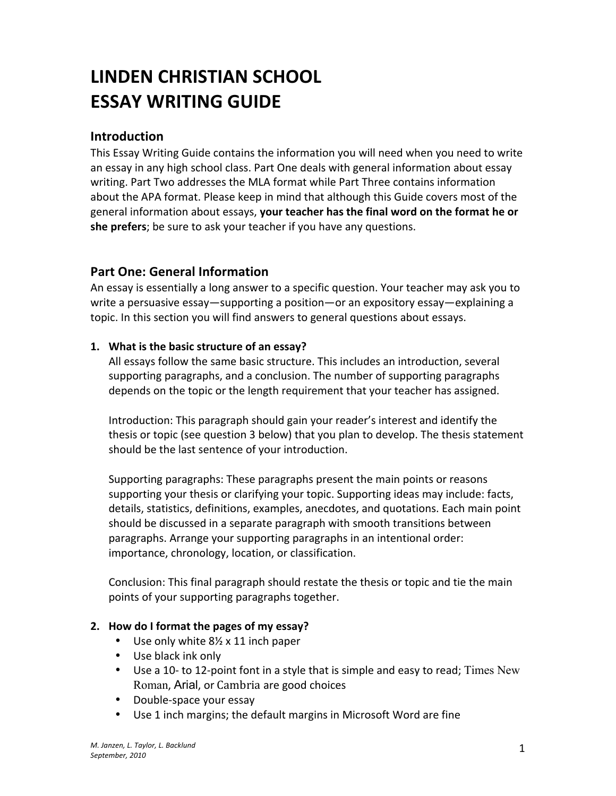# **LINDEN&CHRISTIAN&SCHOOL ESSAY WRITING GUIDE**

# **Introduction**

This Essay Writing Guide contains the information you will need when you need to write an essay in any high school class. Part One deals with general information about essay writing. Part Two addresses the MLA format while Part Three contains information about the APA format. Please keep in mind that although this Guide covers most of the general information about essays, your teacher has the final word on the format he or she prefers; be sure to ask your teacher if you have any questions.

# **Part One: General Information**

An essay is essentially a long answer to a specific question. Your teacher may ask you to write a persuasive essay—supporting a position—or an expository essay—explaining a topic. In this section you will find answers to general questions about essays.

## **1.** What is the basic structure of an essay?

All essays follow the same basic structure. This includes an introduction, several supporting paragraphs, and a conclusion. The number of supporting paragraphs depends on the topic or the length requirement that your teacher has assigned.

Introduction: This paragraph should gain your reader's interest and identify the thesis or topic (see question 3 below) that you plan to develop. The thesis statement should be the last sentence of your introduction.

Supporting paragraphs: These paragraphs present the main points or reasons supporting your thesis or clarifying your topic. Supporting ideas may include: facts, details, statistics, definitions, examples, anecdotes, and quotations. Each main point should be discussed in a separate paragraph with smooth transitions between paragraphs. Arrange your supporting paragraphs in an intentional order: importance, chronology, location, or classification.

Conclusion: This final paragraph should restate the thesis or topic and tie the main points of your supporting paragraphs together.

## **2.** How do I format the pages of my essay?

- Use only white  $8\frac{1}{2}$  x 11 inch paper
- $\bullet$  Use black ink only
- Use a 10- to 12-point font in a style that is simple and easy to read; Times New Roman, Arial, or Cambria are good choices
- Double-space your essay
- Use 1 inch margins; the default margins in Microsoft Word are fine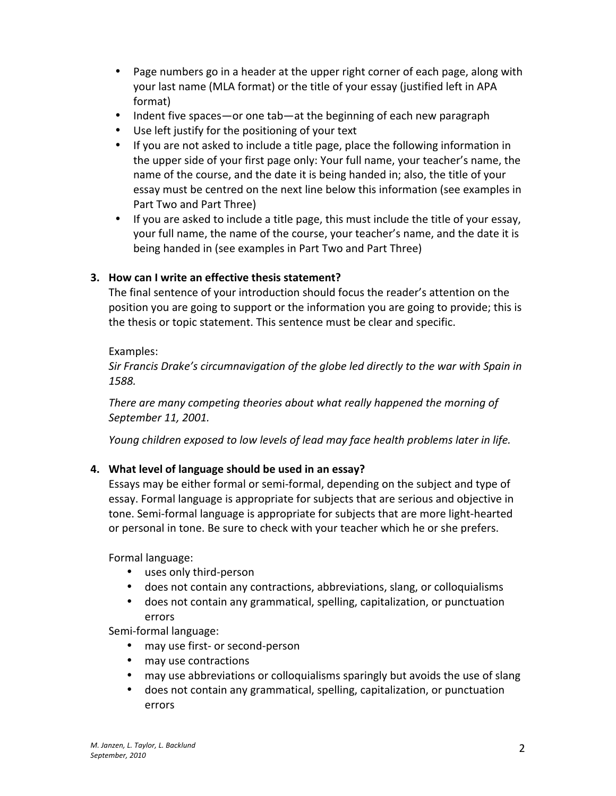- Page numbers go in a header at the upper right corner of each page, along with your last name (MLA format) or the title of your essay (justified left in APA format)
- Indent five spaces—or one tab—at the beginning of each new paragraph
- Use left justify for the positioning of your text
- If you are not asked to include a title page, place the following information in the upper side of your first page only: Your full name, your teacher's name, the name of the course, and the date it is being handed in; also, the title of your essay must be centred on the next line below this information (see examples in Part Two and Part Three)
- If you are asked to include a title page, this must include the title of your essay, your full name, the name of the course, your teacher's name, and the date it is being handed in (see examples in Part Two and Part Three)

#### **3. How can I write an effective thesis statement?**

The final sentence of your introduction should focus the reader's attention on the position you are going to support or the information you are going to provide; this is the thesis or topic statement. This sentence must be clear and specific.

#### Examples:

*Sir Francis Drake's circumnavigation of the globe led directly to the war with Spain in 1588.*

*There are many competing theories about what really happened the morning of September#11,#2001.*

*Young children exposed to low levels of lead may face health problems later in life.* 

## 4. What level of language should be used in an essay?

Essays may be either formal or semi-formal, depending on the subject and type of essay. Formal language is appropriate for subjects that are serious and objective in tone. Semi-formal language is appropriate for subjects that are more light-hearted or personal in tone. Be sure to check with your teacher which he or she prefers.

Formal language:

- uses only third-person
- does not contain any contractions, abbreviations, slang, or colloquialisms
- does not contain any grammatical, spelling, capitalization, or punctuation errors

Semi-formal language:

- may use first- or second-person
- may use contractions
- may use abbreviations or colloquialisms sparingly but avoids the use of slang
- does not contain any grammatical, spelling, capitalization, or punctuation errors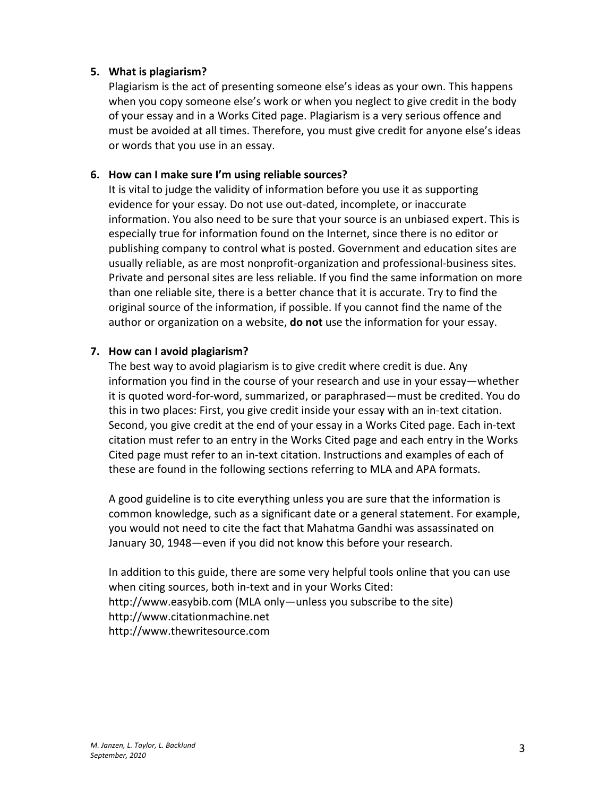#### **5.** What is plagiarism?

Plagiarism is the act of presenting someone else's ideas as your own. This happens when you copy someone else's work or when you neglect to give credit in the body of your essay and in a Works Cited page. Plagiarism is a very serious offence and must be avoided at all times. Therefore, you must give credit for anyone else's ideas or words that you use in an essay.

#### **6.** How can I make sure I'm using reliable sources?

It is vital to judge the validity of information before you use it as supporting evidence for your essay. Do not use out-dated, incomplete, or inaccurate information. You also need to be sure that your source is an unbiased expert. This is especially true for information found on the Internet, since there is no editor or publishing company to control what is posted. Government and education sites are usually reliable, as are most nonprofit-organization and professional-business sites. Private and personal sites are less reliable. If you find the same information on more than one reliable site, there is a better chance that it is accurate. Try to find the original source of the information, if possible. If you cannot find the name of the author or organization on a website, **do not** use the information for your essay.

#### **7.** How can I avoid plagiarism?

The best way to avoid plagiarism is to give credit where credit is due. Any information you find in the course of your research and use in your essay—whether it is quoted word-for-word, summarized, or paraphrased—must be credited. You do this in two places: First, you give credit inside your essay with an in-text citation. Second, you give credit at the end of your essay in a Works Cited page. Each in-text citation must refer to an entry in the Works Cited page and each entry in the Works Cited page must refer to an in-text citation. Instructions and examples of each of these are found in the following sections referring to MLA and APA formats.

A good guideline is to cite everything unless you are sure that the information is common knowledge, such as a significant date or a general statement. For example, you would not need to cite the fact that Mahatma Gandhi was assassinated on January 30, 1948—even if you did not know this before your research.

In addition to this guide, there are some very helpful tools online that you can use when citing sources, both in-text and in your Works Cited: http://www.easybib.com (MLA only—unless you subscribe to the site) http://www.citationmachine.net http://www.thewritesource.com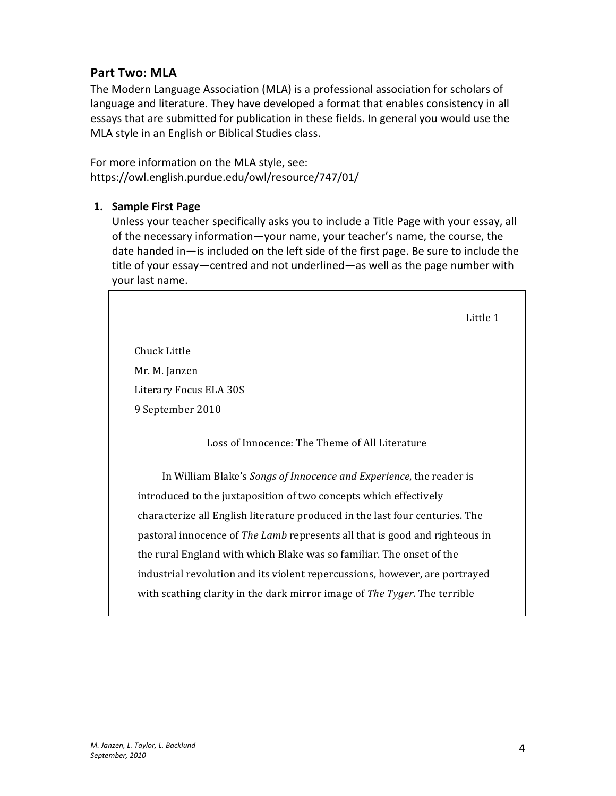# **Part Two: MLA**

The Modern Language Association (MLA) is a professional association for scholars of language and literature. They have developed a format that enables consistency in all essays that are submitted for publication in these fields. In general you would use the MLA style in an English or Biblical Studies class.

For more information on the MLA style, see: https://owl.english.purdue.edu/owl/resource/747/01/

#### **1. Sample First Page**

Unless your teacher specifically asks you to include a Title Page with your essay, all of the necessary information—your name, your teacher's name, the course, the date handed in—is included on the left side of the first page. Be sure to include the title of your essay—centred and not underlined—as well as the page number with your last name.

Little 1

Chuck'Little Mr. M. Janzen Literary Focus ELA 30S 9 September 2010

Loss of Innocence: The Theme of All Literature

In William Blake's *Songs of Innocence and Experience*, the reader is introduced to the juxtaposition of two concepts which effectively characterize all English literature produced in the last four centuries. The pastoral innocence of *The Lamb* represents all that is good and righteous in the rural England with which Blake was so familiar. The onset of the industrial revolution and its violent repercussions, however, are portrayed with scathing clarity in the dark mirror image of *The Tyger*. The terrible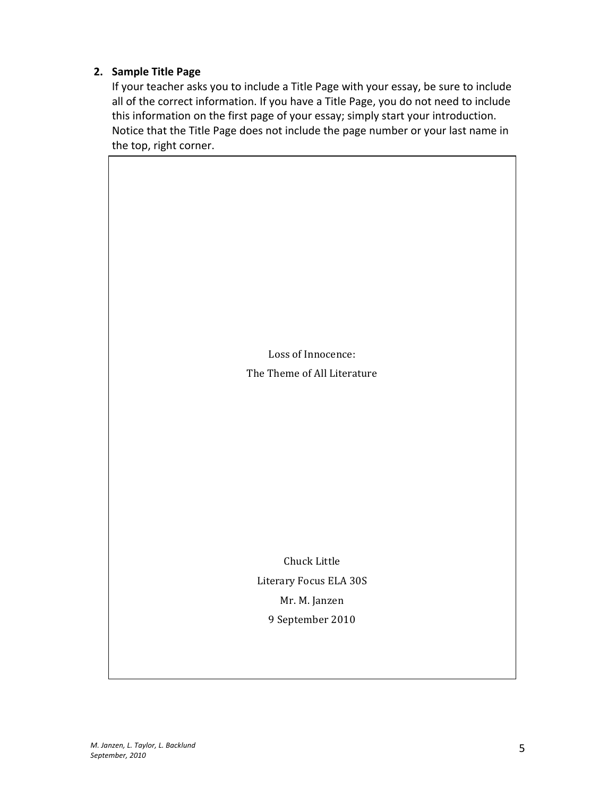#### **2.** Sample Title Page

If your teacher asks you to include a Title Page with your essay, be sure to include all of the correct information. If you have a Title Page, you do not need to include this information on the first page of your essay; simply start your introduction. Notice that the Title Page does not include the page number or your last name in the top, right corner.

> Loss of Innocence: The Theme of All Literature

Chuck'Little Literary Focus ELA 30S Mr. M. Janzen 9 September 2010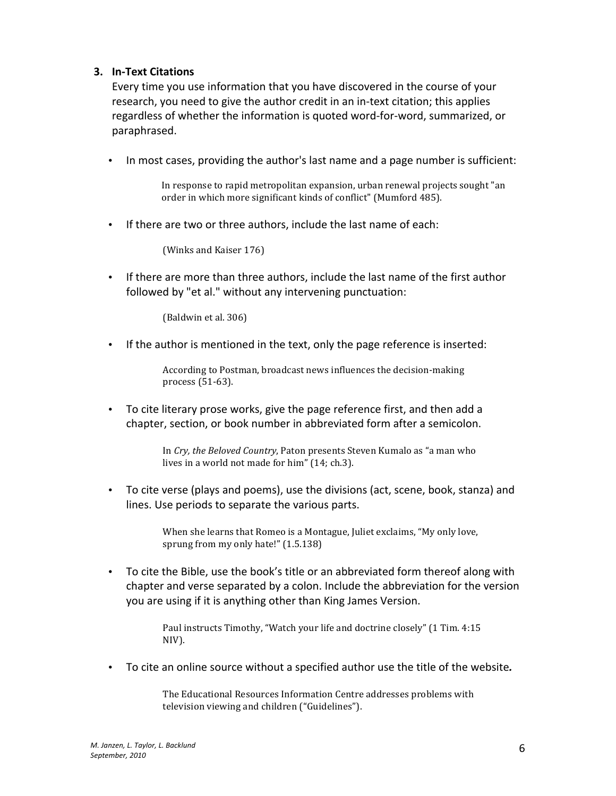#### **3. In-Text Citations**

Every time you use information that you have discovered in the course of your research, you need to give the author credit in an in-text citation; this applies regardless of whether the information is quoted word-for-word, summarized, or paraphrased."

• In most cases, providing the author's last name and a page number is sufficient:

In response to rapid metropolitan expansion, urban renewal projects sought "an order in which more significant kinds of conflict" (Mumford 485).

• If there are two or three authors, include the last name of each:

(Winks and Kaiser 176)

• If there are more than three authors, include the last name of the first author followed by "et al." without any intervening punctuation:

(Baldwin et al. 306)

• If the author is mentioned in the text, only the page reference is inserted:

According to Postman, broadcast news influences the decision-making process  $(51-63)$ .

• To cite literary prose works, give the page reference first, and then add a chapter, section, or book number in abbreviated form after a semicolon.

> In Cry, the Beloved Country, Paton presents Steven Kumalo as "a man who lives in a world not made for him" (14; ch.3).

• To cite verse (plays and poems), use the divisions (act, scene, book, stanza) and lines. Use periods to separate the various parts.

> When she learns that Romeo is a Montague, Juliet exclaims, "My only love, sprung from my only hate!" (1.5.138)

• To cite the Bible, use the book's title or an abbreviated form thereof along with chapter and verse separated by a colon. Include the abbreviation for the version you are using if it is anything other than King James Version.

> Paul instructs Timothy, "Watch your life and doctrine closely" (1 Tim. 4:15) NIV).

• To cite an online source without a specified author use the title of the website.

The Educational Resources Information Centre addresses problems with television viewing and children ("Guidelines").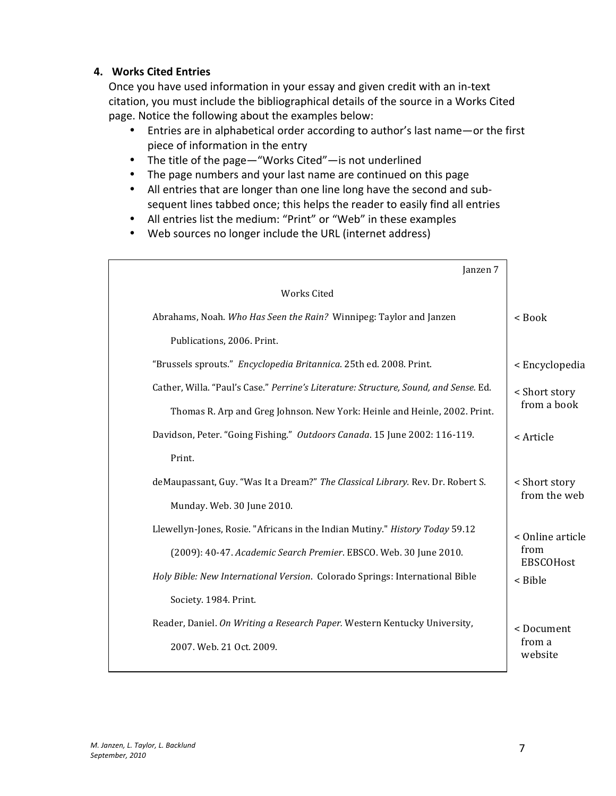#### **4.** Works Cited Entries

Once you have used information in your essay and given credit with an in-text citation, you must include the bibliographical details of the source in a Works Cited page. Notice the following about the examples below:

- Entries are in alphabetical order according to author's last name—or the first piece of information in the entry
- The title of the page—"Works Cited"—is not underlined
- The page numbers and your last name are continued on this page
- All entries that are longer than one line long have the second and subsequent lines tabbed once; this helps the reader to easily find all entries
- All entries list the medium: "Print" or "Web" in these examples
- Web sources no longer include the URL (internet address)

| Janzen 7                                                                             |                                              |
|--------------------------------------------------------------------------------------|----------------------------------------------|
| <b>Works Cited</b>                                                                   |                                              |
| Abrahams, Noah. Who Has Seen the Rain? Winnipeg: Taylor and Janzen                   | < Book                                       |
| Publications, 2006. Print.                                                           |                                              |
| "Brussels sprouts." Encyclopedia Britannica. 25th ed. 2008. Print.                   | < Encyclopedia                               |
| Cather, Willa. "Paul's Case." Perrine's Literature: Structure, Sound, and Sense. Ed. | < Short story<br>from a book                 |
| Thomas R. Arp and Greg Johnson. New York: Heinle and Heinle, 2002. Print.            |                                              |
| Davidson, Peter. "Going Fishing." Outdoors Canada. 15 June 2002: 116-119.            | < Article                                    |
| Print.                                                                               |                                              |
| deMaupassant, Guy. "Was It a Dream?" The Classical Library. Rev. Dr. Robert S.       | < Short story                                |
| Munday. Web. 30 June 2010.                                                           | from the web                                 |
| Llewellyn-Jones, Rosie. "Africans in the Indian Mutiny." History Today 59.12         | < Online article<br>from<br><b>EBSCOHost</b> |
| (2009): 40-47. Academic Search Premier. EBSCO. Web. 30 June 2010.                    |                                              |
| Holy Bible: New International Version. Colorado Springs: International Bible         | < Bible                                      |
| Society. 1984. Print.                                                                |                                              |
| Reader, Daniel. On Writing a Research Paper. Western Kentucky University,            | <document< td=""></document<>                |
| 2007. Web. 21 Oct. 2009.                                                             | from a<br>website                            |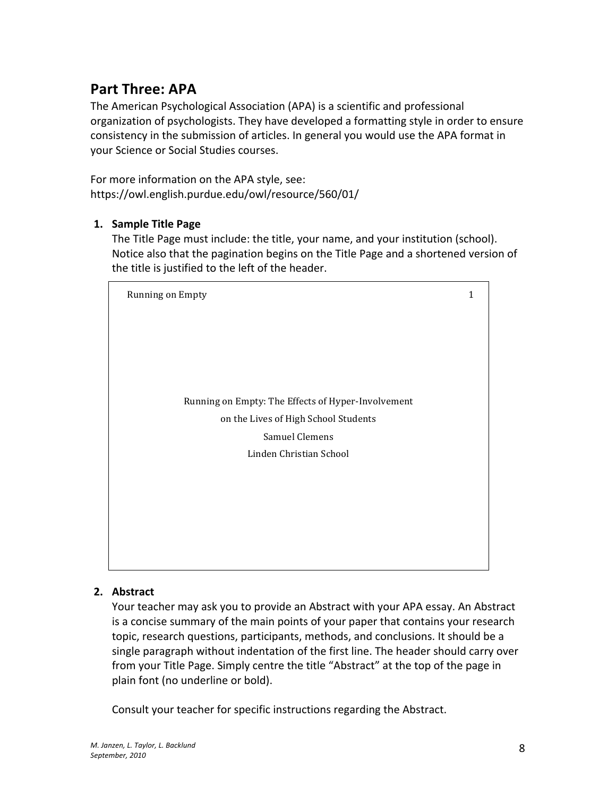# **Part Three: APA**

The American Psychological Association (APA) is a scientific and professional organization of psychologists. They have developed a formatting style in order to ensure consistency in the submission of articles. In general you would use the APA format in your Science or Social Studies courses.

For more information on the APA style, see: https://owl.english.purdue.edu/owl/resource/560/01/

#### **1.** Sample Title Page

The Title Page must include: the title, your name, and your institution (school). Notice also that the pagination begins on the Title Page and a shortened version of the title is justified to the left of the header.



#### **2. Abstract**

Your teacher may ask you to provide an Abstract with your APA essay. An Abstract is a concise summary of the main points of your paper that contains your research topic, research questions, participants, methods, and conclusions. It should be a single paragraph without indentation of the first line. The header should carry over from your Title Page. Simply centre the title "Abstract" at the top of the page in plain font (no underline or bold).

Consult your teacher for specific instructions regarding the Abstract.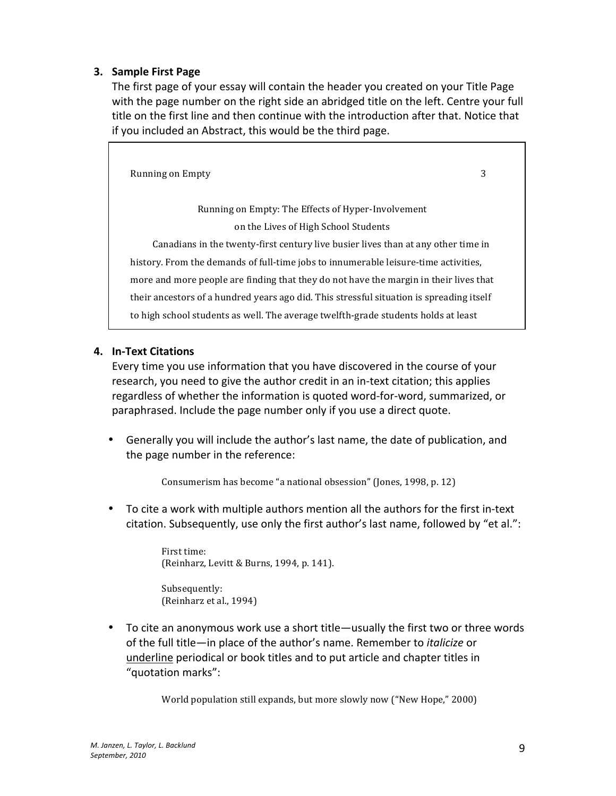#### **3. Sample First Page**

The first page of your essay will contain the header you created on your Title Page with the page number on the right side an abridged title on the left. Centre your full title on the first line and then continue with the introduction after that. Notice that if you included an Abstract, this would be the third page.

Running on Empty ''' 3 Running on Empty: The Effects of Hyper-Involvement on the Lives of High School Students Canadians in the twenty-first century live busier lives than at any other time in history. From the demands of full-time jobs to innumerable leisure-time activities, more and more people are finding that they do not have the margin in their lives that their ancestors of a hundred years ago did. This stressful situation is spreading itself to high school students as well. The average twelfth-grade students holds at least

#### **4.** In-Text Citations

Every time you use information that you have discovered in the course of your research, you need to give the author credit in an in-text citation; this applies regardless of whether the information is quoted word-for-word, summarized, or paraphrased. Include the page number only if you use a direct quote.

• Generally you will include the author's last name, the date of publication, and the page number in the reference:

Consumerism has become "a national obsession" (Jones, 1998, p. 12)

• To cite a work with multiple authors mention all the authors for the first in-text citation. Subsequently, use only the first author's last name, followed by "et al.":

> First time: (Reinharz, Levitt & Burns, 1994, p. 141).

Subsequently: (Reinharz et al., 1994)

• To cite an anonymous work use a short title—usually the first two or three words of the full title—in place of the author's name. Remember to *italicize* or underline periodical or book titles and to put article and chapter titles in "quotation marks":

World population still expands, but more slowly now ("New Hope," 2000)